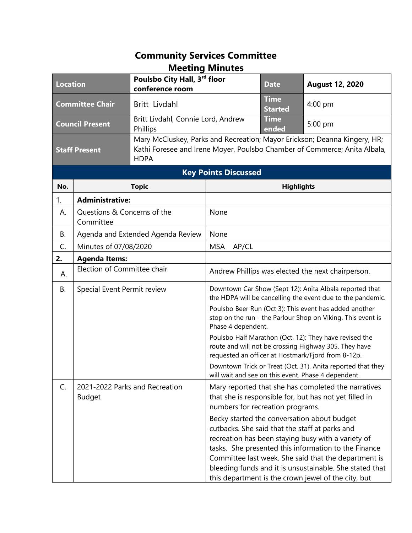## **Community Services Committee Meeting Minutes**

| <b>Location</b>                     |                                          | Poulsbo City Hall, 3rd floor<br>conference room |                                                                                                                                                                                                                                                                                             | <b>Date</b>                                                                                                                                            | <b>August 12, 2020</b>                                                                                                                                                                                                                                                                                                                                                                                                                                                                                 |  |
|-------------------------------------|------------------------------------------|-------------------------------------------------|---------------------------------------------------------------------------------------------------------------------------------------------------------------------------------------------------------------------------------------------------------------------------------------------|--------------------------------------------------------------------------------------------------------------------------------------------------------|--------------------------------------------------------------------------------------------------------------------------------------------------------------------------------------------------------------------------------------------------------------------------------------------------------------------------------------------------------------------------------------------------------------------------------------------------------------------------------------------------------|--|
| <b>Committee Chair</b>              |                                          | Britt Livdahl                                   |                                                                                                                                                                                                                                                                                             | <b>Time</b><br><b>Started</b>                                                                                                                          | 4:00 pm                                                                                                                                                                                                                                                                                                                                                                                                                                                                                                |  |
| <b>Council Present</b><br>Phillips  |                                          | Britt Livdahl, Connie Lord, Andrew              |                                                                                                                                                                                                                                                                                             | <b>Time</b><br>ended                                                                                                                                   | 5:00 pm                                                                                                                                                                                                                                                                                                                                                                                                                                                                                                |  |
| <b>Staff Present</b><br><b>HDPA</b> |                                          |                                                 |                                                                                                                                                                                                                                                                                             | Mary McCluskey, Parks and Recreation; Mayor Erickson; Deanna Kingery, HR;<br>Kathi Foresee and Irene Moyer, Poulsbo Chamber of Commerce; Anita Albala, |                                                                                                                                                                                                                                                                                                                                                                                                                                                                                                        |  |
| <b>Key Points Discussed</b>         |                                          |                                                 |                                                                                                                                                                                                                                                                                             |                                                                                                                                                        |                                                                                                                                                                                                                                                                                                                                                                                                                                                                                                        |  |
| No.                                 | <b>Topic</b>                             |                                                 | <b>Highlights</b>                                                                                                                                                                                                                                                                           |                                                                                                                                                        |                                                                                                                                                                                                                                                                                                                                                                                                                                                                                                        |  |
| 1.                                  | <b>Administrative:</b>                   |                                                 |                                                                                                                                                                                                                                                                                             |                                                                                                                                                        |                                                                                                                                                                                                                                                                                                                                                                                                                                                                                                        |  |
| А.                                  | Questions & Concerns of the<br>Committee |                                                 | None                                                                                                                                                                                                                                                                                        |                                                                                                                                                        |                                                                                                                                                                                                                                                                                                                                                                                                                                                                                                        |  |
| В.                                  | Agenda and Extended Agenda Review        |                                                 | None                                                                                                                                                                                                                                                                                        |                                                                                                                                                        |                                                                                                                                                                                                                                                                                                                                                                                                                                                                                                        |  |
| C.                                  | Minutes of 07/08/2020                    |                                                 | MSA AP/CL                                                                                                                                                                                                                                                                                   |                                                                                                                                                        |                                                                                                                                                                                                                                                                                                                                                                                                                                                                                                        |  |
| 2.                                  | <b>Agenda Items:</b>                     |                                                 |                                                                                                                                                                                                                                                                                             |                                                                                                                                                        |                                                                                                                                                                                                                                                                                                                                                                                                                                                                                                        |  |
| А.                                  | Election of Committee chair              |                                                 | Andrew Phillips was elected the next chairperson.                                                                                                                                                                                                                                           |                                                                                                                                                        |                                                                                                                                                                                                                                                                                                                                                                                                                                                                                                        |  |
| В.                                  | Special Event Permit review              |                                                 | Downtown Car Show (Sept 12): Anita Albala reported that<br>the HDPA will be cancelling the event due to the pandemic.<br>Poulsbo Beer Run (Oct 3): This event has added another<br>stop on the run - the Parlour Shop on Viking. This event is<br>Phase 4 dependent.                        |                                                                                                                                                        |                                                                                                                                                                                                                                                                                                                                                                                                                                                                                                        |  |
|                                     |                                          |                                                 | Poulsbo Half Marathon (Oct. 12): They have revised the<br>route and will not be crossing Highway 305. They have<br>requested an officer at Hostmark/Fjord from 8-12p.<br>Downtown Trick or Treat (Oct. 31). Anita reported that they<br>will wait and see on this event. Phase 4 dependent. |                                                                                                                                                        |                                                                                                                                                                                                                                                                                                                                                                                                                                                                                                        |  |
| C.                                  | <b>Budget</b>                            | 2021-2022 Parks and Recreation                  | numbers for recreation programs.                                                                                                                                                                                                                                                            |                                                                                                                                                        | Mary reported that she has completed the narratives<br>that she is responsible for, but has not yet filled in<br>Becky started the conversation about budget<br>cutbacks. She said that the staff at parks and<br>recreation has been staying busy with a variety of<br>tasks. She presented this information to the Finance<br>Committee last week. She said that the department is<br>bleeding funds and it is unsustainable. She stated that<br>this department is the crown jewel of the city, but |  |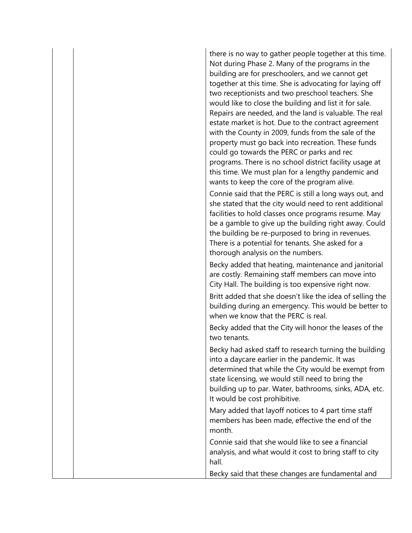there is no way to gather people together at this time. Not during Phase 2. Many of the programs in the building are for preschoolers, and we cannot get together at this time. She is advocating for laying off two receptionists and two preschool teachers. She would like to close the building and list it for sale. Repairs are needed, and the land is valuable. The real estate market is hot. Due to the contract agreement with the County in 2009, funds from the sale of the property must go back into recreation. These funds could go towards the PERC or parks and rec programs. There is no school district facility usage at this time. We must plan for a lengthy pandemic and wants to keep the core of the program alive.

Connie said that the PERC is still a long ways out, and she stated that the city would need to rent additional facilities to hold classes once programs resume. May be a gamble to give up the building right away. Could the building be re-purposed to bring in revenues. There is a potential for tenants. She asked for a thorough analysis on the numbers.

Becky added that heating, maintenance and janitorial are costly. Remaining staff members can move into City Hall. The building is too expensive right now.

Britt added that she doesn't like the idea of selling the building during an emergency. This would be better to when we know that the PERC is real.

Becky added that the City will honor the leases of the two tenants.

Becky had asked staff to research turning the building into a daycare earlier in the pandemic. It was determined that while the City would be exempt from state licensing, we would still need to bring the building up to par. Water, bathrooms, sinks, ADA, etc. It would be cost prohibitive.

Mary added that layoff notices to 4 part time staff members has been made, effective the end of the month.

Connie said that she would like to see a financial analysis, and what would it cost to bring staff to city hall.

Becky said that these changes are fundamental and